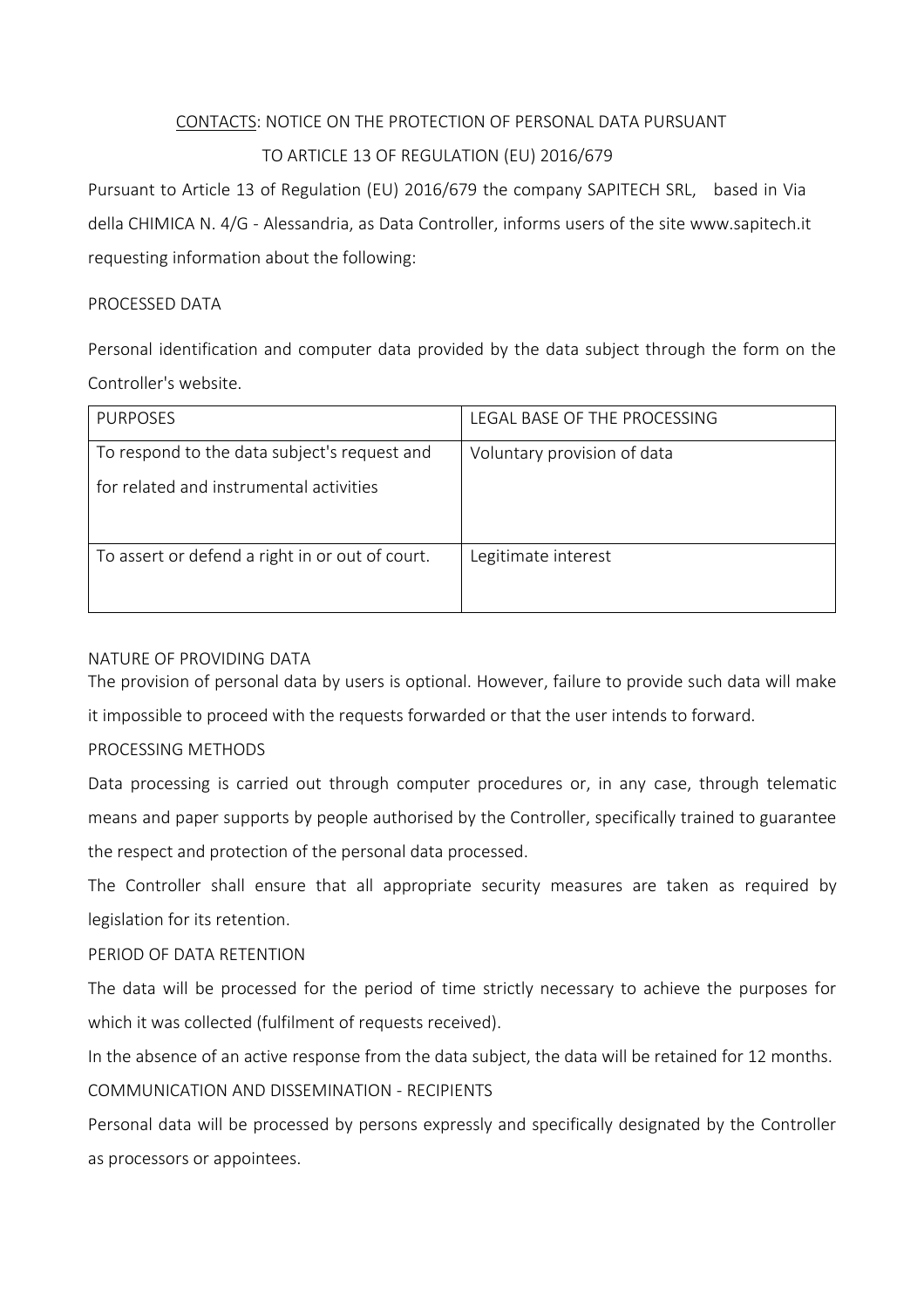# CONTACTS: NOTICE ON THE PROTECTION OF PERSONAL DATA PURSUANT TO ARTICLE 13 OF REGULATION (EU) 2016/679

Pursuant to Article 13 of Regulation (EU) 2016/679 the company SAPITECH SRL, based in Via della CHIMICA N. 4/G - Alessandria, as Data Controller, informs users of the site www.sapitech.it requesting information about the following:

### PROCESSED DATA

Personal identification and computer data provided by the data subject through the form on the Controller's website.

| <b>PURPOSES</b>                                 | LEGAL BASE OF THE PROCESSING |
|-------------------------------------------------|------------------------------|
| To respond to the data subject's request and    | Voluntary provision of data  |
| for related and instrumental activities         |                              |
|                                                 |                              |
| To assert or defend a right in or out of court. | Legitimate interest          |

### NATURE OF PROVIDING DATA

The provision of personal data by users is optional. However, failure to provide such data will make it impossible to proceed with the requests forwarded or that the user intends to forward.

## PROCESSING METHODS

Data processing is carried out through computer procedures or, in any case, through telematic means and paper supports by people authorised by the Controller, specifically trained to guarantee the respect and protection of the personal data processed.

The Controller shall ensure that all appropriate security measures are taken as required by legislation for its retention.

## PERIOD OF DATA RETENTION

The data will be processed for the period of time strictly necessary to achieve the purposes for which it was collected (fulfilment of requests received).

In the absence of an active response from the data subject, the data will be retained for 12 months. COMMUNICATION AND DISSEMINATION - RECIPIENTS

Personal data will be processed by persons expressly and specifically designated by the Controller as processors or appointees.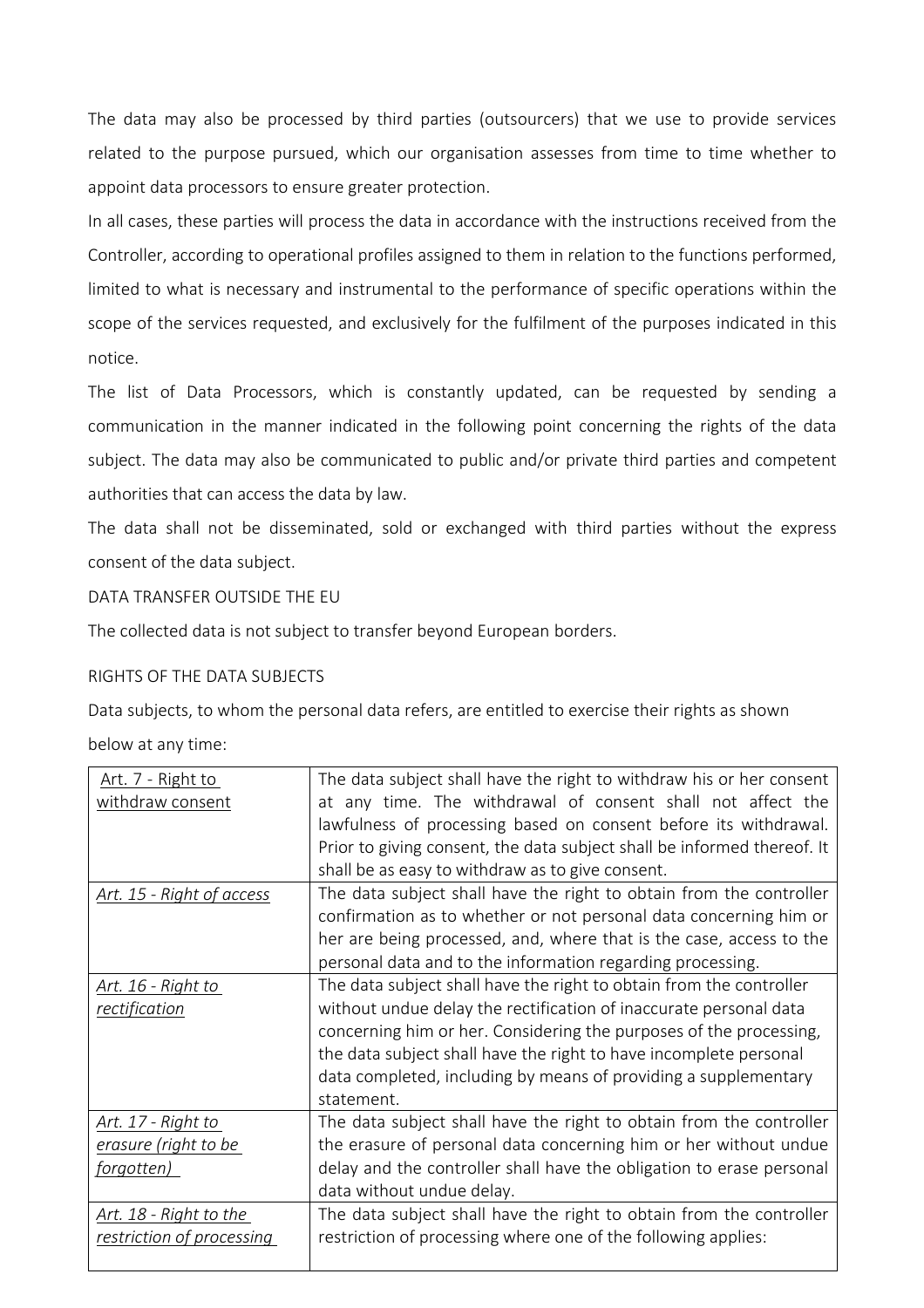The data may also be processed by third parties (outsourcers) that we use to provide services related to the purpose pursued, which our organisation assesses from time to time whether to appoint data processors to ensure greater protection.

In all cases, these parties will process the data in accordance with the instructions received from the Controller, according to operational profiles assigned to them in relation to the functions performed, limited to what is necessary and instrumental to the performance of specific operations within the scope of the services requested, and exclusively for the fulfilment of the purposes indicated in this notice.

The list of Data Processors, which is constantly updated, can be requested by sending a communication in the manner indicated in the following point concerning the rights of the data subject. The data may also be communicated to public and/or private third parties and competent authorities that can access the data by law.

The data shall not be disseminated, sold or exchanged with third parties without the express consent of the data subject.

DATA TRANSFER OUTSIDE THE EU

The collected data is not subject to transfer beyond European borders.

#### RIGHTS OF THE DATA SUBJECTS

Data subjects, to whom the personal data refers, are entitled to exercise their rights as shown

below at any time:

| Art. 7 - Right to                | The data subject shall have the right to withdraw his or her consent    |
|----------------------------------|-------------------------------------------------------------------------|
| withdraw consent                 | at any time. The withdrawal of consent shall not affect the             |
|                                  | lawfulness of processing based on consent before its withdrawal.        |
|                                  | Prior to giving consent, the data subject shall be informed thereof. It |
|                                  | shall be as easy to withdraw as to give consent.                        |
| <u>Art. 15 - Right of access</u> | The data subject shall have the right to obtain from the controller     |
|                                  | confirmation as to whether or not personal data concerning him or       |
|                                  | her are being processed, and, where that is the case, access to the     |
|                                  | personal data and to the information regarding processing.              |
| Art. 16 - Right to               | The data subject shall have the right to obtain from the controller     |
| rectification                    | without undue delay the rectification of inaccurate personal data       |
|                                  | concerning him or her. Considering the purposes of the processing,      |
|                                  | the data subject shall have the right to have incomplete personal       |
|                                  | data completed, including by means of providing a supplementary         |
|                                  | statement.                                                              |
| Art. 17 - Right to               | The data subject shall have the right to obtain from the controller     |
| erasure (right to be             | the erasure of personal data concerning him or her without undue        |
| forgotten)                       | delay and the controller shall have the obligation to erase personal    |
|                                  | data without undue delay.                                               |
| Art. 18 - Right to the           | The data subject shall have the right to obtain from the controller     |
| restriction of processing        | restriction of processing where one of the following applies:           |
|                                  |                                                                         |